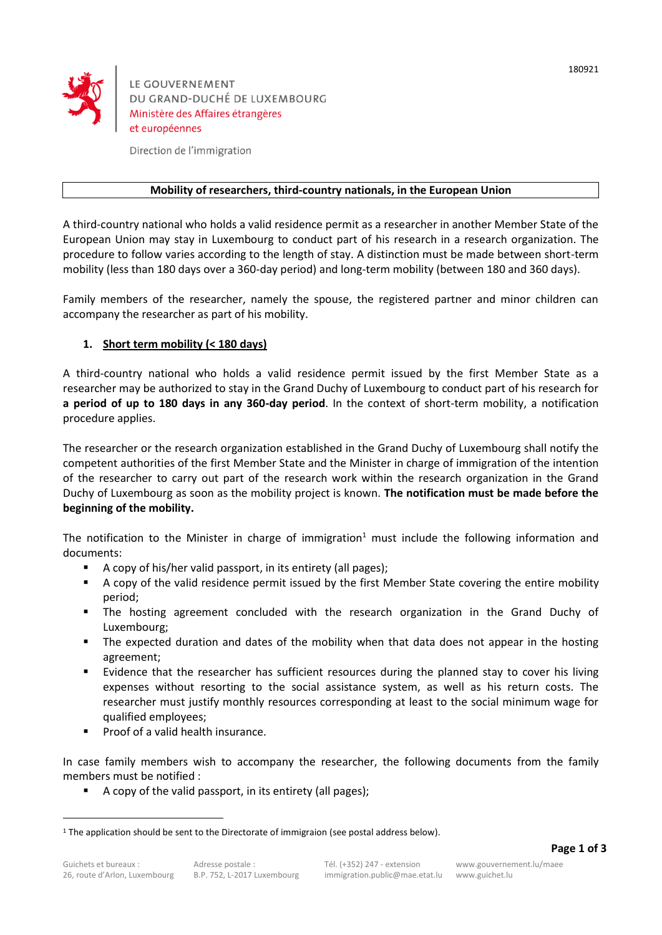

LE GOUVERNEMENT DU GRAND-DUCHÉ DE LUXEMBOURG Ministère des Affaires étrangères et européennes

Direction de l'immigration

### **Mobility of researchers, third-country nationals, in the European Union**

A third-country national who holds a valid residence permit as a researcher in another Member State of the European Union may stay in Luxembourg to conduct part of his research in a research organization. The procedure to follow varies according to the length of stay. A distinction must be made between short-term mobility (less than 180 days over a 360-day period) and long-term mobility (between 180 and 360 days).

Family members of the researcher, namely the spouse, the registered partner and minor children can accompany the researcher as part of his mobility.

# **1. Short term mobility (< 180 days)**

A third-country national who holds a valid residence permit issued by the first Member State as a researcher may be authorized to stay in the Grand Duchy of Luxembourg to conduct part of his research for **a period of up to 180 days in any 360-day period**. In the context of short-term mobility, a notification procedure applies.

The researcher or the research organization established in the Grand Duchy of Luxembourg shall notify the competent authorities of the first Member State and the Minister in charge of immigration of the intention of the researcher to carry out part of the research work within the research organization in the Grand Duchy of Luxembourg as soon as the mobility project is known. **The notification must be made before the beginning of the mobility.**

The notification to the Minister in charge of immigration<sup>1</sup> must include the following information and documents:

- A copy of his/her valid passport, in its entirety (all pages);
- A copy of the valid residence permit issued by the first Member State covering the entire mobility period;
- The hosting agreement concluded with the research organization in the Grand Duchy of Luxembourg;
- The expected duration and dates of the mobility when that data does not appear in the hosting agreement;
- Evidence that the researcher has sufficient resources during the planned stay to cover his living expenses without resorting to the social assistance system, as well as his return costs. The researcher must justify monthly resources corresponding at least to the social minimum wage for qualified employees;
- Proof of a valid health insurance.

In case family members wish to accompany the researcher, the following documents from the family members must be notified :

A copy of the valid passport, in its entirety (all pages);

-

<sup>&</sup>lt;sup>1</sup> The application should be sent to the Directorate of immigraion (see postal address below).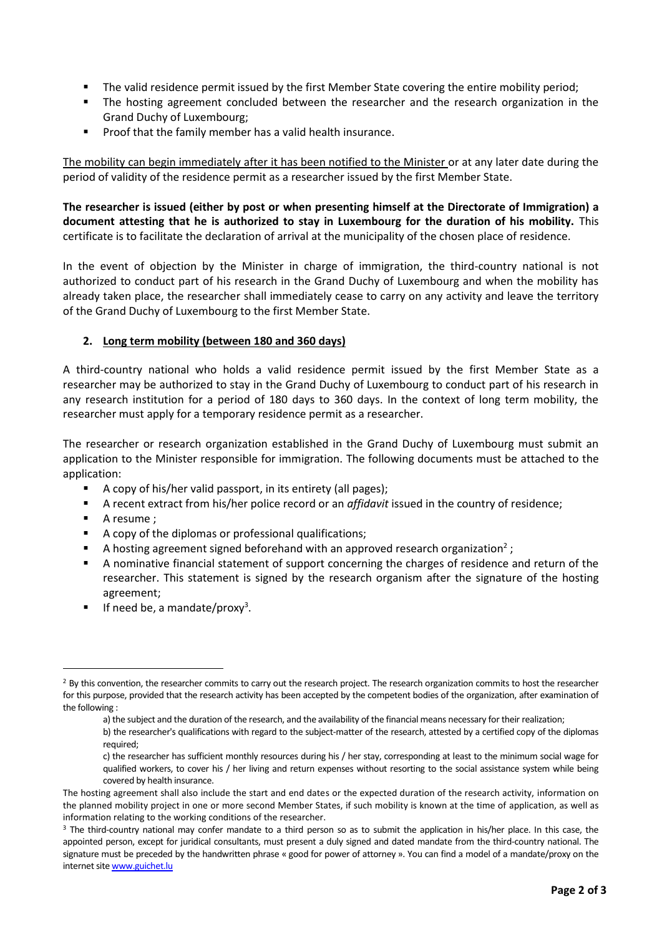- The valid residence permit issued by the first Member State covering the entire mobility period;
- **The hosting agreement concluded between the researcher and the research organization in the** Grand Duchy of Luxembourg;
- **Proof that the family member has a valid health insurance.**

The mobility can begin immediately after it has been notified to the Minister or at any later date during the period of validity of the residence permit as a researcher issued by the first Member State.

**The researcher is issued (either by post or when presenting himself at the Directorate of Immigration) a document attesting that he is authorized to stay in Luxembourg for the duration of his mobility.** This certificate is to facilitate the declaration of arrival at the municipality of the chosen place of residence.

In the event of objection by the Minister in charge of immigration, the third-country national is not authorized to conduct part of his research in the Grand Duchy of Luxembourg and when the mobility has already taken place, the researcher shall immediately cease to carry on any activity and leave the territory of the Grand Duchy of Luxembourg to the first Member State.

## **2. Long term mobility (between 180 and 360 days)**

A third-country national who holds a valid residence permit issued by the first Member State as a researcher may be authorized to stay in the Grand Duchy of Luxembourg to conduct part of his research in any research institution for a period of 180 days to 360 days. In the context of long term mobility, the researcher must apply for a temporary residence permit as a researcher.

The researcher or research organization established in the Grand Duchy of Luxembourg must submit an application to the Minister responsible for immigration. The following documents must be attached to the application:

- A copy of his/her valid passport, in its entirety (all pages);
- A recent extract from his/her police record or an *affidavit* issued in the country of residence;
- A resume ;

-

- A copy of the diplomas or professional qualifications;
- A hosting agreement signed beforehand with an approved research organization<sup>2</sup>;
- A nominative financial statement of support concerning the charges of residence and return of the researcher. This statement is signed by the research organism after the signature of the hosting agreement;
- If need be, a mandate/proxy<sup>3</sup>.

<sup>&</sup>lt;sup>2</sup> By this convention, the researcher commits to carry out the research project. The research organization commits to host the researcher for this purpose, provided that the research activity has been accepted by the competent bodies of the organization, after examination of the following :

a) the subject and the duration of the research, and the availability of the financial means necessary for their realization;

b) the researcher's qualifications with regard to the subject-matter of the research, attested by a certified copy of the diplomas required;

c) the researcher has sufficient monthly resources during his / her stay, corresponding at least to the minimum social wage for qualified workers, to cover his / her living and return expenses without resorting to the social assistance system while being covered by health insurance.

The hosting agreement shall also include the start and end dates or the expected duration of the research activity, information on the planned mobility project in one or more second Member States, if such mobility is known at the time of application, as well as information relating to the working conditions of the researcher.

<sup>&</sup>lt;sup>3</sup> The third-country national may confer mandate to a third person so as to submit the application in his/her place. In this case, the appointed person, except for juridical consultants, must present a duly signed and dated mandate from the third-country national. The signature must be preceded by the handwritten phrase « good for power of attorney ». You can find a model of a mandate/proxy on the internet sit[e www.guichet.lu](http://www.guichet.lu/)